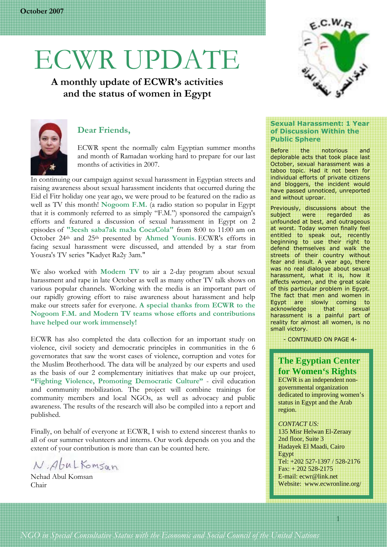# ECWR UPDATE

**A monthly update of ECWR's activities and the status of women in Egypt** 



#### **Dear Friends,**

ECWR spent the normally calm Egyptian summer months and month of Ramadan working hard to prepare for our last months of activities in 2007.

 In continuing our campaign against sexual harassment in Egyptian streets and raising awareness about sexual harassment incidents that occurred during the Eid el Fitr holiday one year ago, we were proud to be featured on the radio as well as TV this month! **Nogoom F.M.** (a radio station so popular in Egypt that it is commonly referred to as simply "F.M.") sponsored the campaign's efforts and featured a discussion of sexual harassment in Egypt on 2 episodes of **"3eesh saba7ak ma3a CocaCola"** from 8:00 to 11:00 am on October 24th and 25th presented by **Ahmed Younis**. ECWR's efforts in facing sexual harassment were discussed, and attended by a star from Yousra's TV series "Kadyet Ra2y 3am."

We also worked with **Modern TV** to air a 2-day program about sexual harassment and rape in late October as well as many other TV talk shows on various popular channels. Working with the media is an important part of our rapidly growing effort to raise awareness about harassment and help make our streets safer for everyone. **A special thanks from ECWR to the Nogoom F.M. and Modern TV teams whose efforts and contributions have helped our work immensely!** 

ECWR has also completed the data collection for an important study on violence, civil society and democratic principles in communities in the 6 governorates that saw the worst cases of violence, corruption and votes for the Muslim Brotherhood. The data will be analyzed by our experts and used as the basis of our 2 complementary initiatives that make up our project, **"Fighting Violence, Promoting Democratic Culture"** - civil education and community mobilization. The project will combine trainings for community members and local NGOs, as well as advocacy and public awareness. The results of the research will also be compiled into a report and published.

Finally, on behalf of everyone at ECWR, I wish to extend sincerest thanks to all of our summer volunteers and interns. Our work depends on you and the extent of your contribution is more than can be counted here.

N. Abul Komsan

Nehad Abul Komsan Chair



#### **Sexual Harassment: 1 Year of Discussion Within the Public Sphere**

Before the notorious and deplorable acts that took place last October, sexual harassment was a taboo topic. Had it not been for individual efforts of private citizens and bloggers, the incident would have passed unnoticed, unreported and without uproar.

Previously, discussions about the subject were regarded as unfounded at best, and outrageous at worst. Today women finally feel entitled to speak out, recently beginning to use their right to defend themselves and walk the streets of their country without fear and insult. A year ago, there was no real dialogue about sexual harassment, what it is, how it affects women, and the great scale of this particular problem in Egypt. The fact that men and women in Egypt are slowly coming to<br>acknowledge that sexual acknowledge that sexual harassment is a painful part of reality for almost all women, is no small victory.

- CONTINUED ON PAGE 4-

#### **The Egyptian Center for Women's Rights**

ECWR is an independent nongovernmental organization dedicated to improving women's status in Egypt and the Arab region.

*CONTACT US:*  135 Misr Helwan El-Zeraay 2nd floor, Suite 3 Hadayek El Maadi, Cairo Egypt Tel: +202 527-1397 / 528-2176 Fax: + 202 528-2175 E-mail: ecwr@link.net Website: www.ecwronline.org/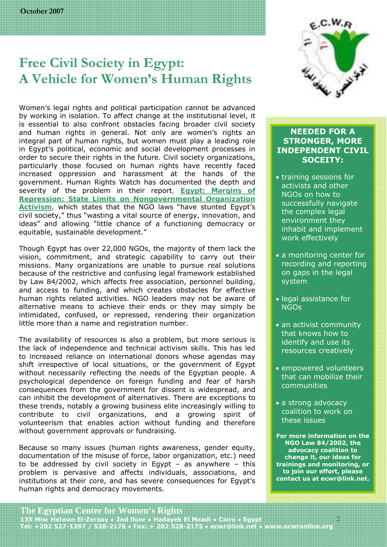## **Free Civil Society in Egypt: A Vehicle for Women's Human Rights**

Women's legal rights and political participation cannot be advanced by working in isolation. To affect change at the institutional level, it is essential to also confront obstacles facing broader civil society and human rights in general. Not only are women's rights an integral part of human rights, but women must play a leading role in Egypt's political, economic and social development processes in order to secure their rights in the future. Civil society organizations, particularly those focused on human rights have recently faced increased oppression and harassment at the hands of the government. Human Rights Watch has documented the depth and severity of the problem in their report, *Egypt: Margins of Repression: State Limits on Nongovernmental Organization Activism,* which states that the NGO laws "have stunted Egypt's civil society," thus "wasting a vital source of energy, innovation, and ideas" and allowing "little chance of a functioning democracy or equitable, sustainable development."

Though Egypt has over 22,000 NGOs, the majority of them lack the vision, commitment, and strategic capability to carry out their missions. Many organizations are unable to pursue real solutions because of the restrictive and confusing legal framework established by Law 84/2002, which affects free association, personnel building, and access to funding, and which creates obstacles for effective human rights related activities. NGO leaders may not be aware of alternative means to achieve their ends or they may simply be intimidated, confused, or repressed, rendering their organization little more than a name and registration number.

The availability of resources is also a problem, but more serious is the lack of independence and technical activism skills. This has led to increased reliance on international donors whose agendas may shift irrespective of local situations, or the government of Egypt without necessarily reflecting the needs of the Egyptian people. A psychological dependence on foreign funding and fear of harsh consequences from the government for dissent is widespread, and can inhibit the development of alternatives. There are exceptions to these trends, notably a growing business elite increasingly willing to contribute to civil organizations, and a growing spirit of volunteerism that enables action without funding and therefore without government approvals or fundraising.

Because so many issues (human rights awareness, gender equity, documentation of the misuse of force, labor organization, etc.) need to be addressed by civil society in Egypt  $-$  as anywhere  $-$  this problem is pervasive and affects individuals, associations, and institutions at their core, and has severe consequences for Egypt's human rights and democracy movements.



#### **NEEDED FOR A STRONGER, MORE INDEPENDENT CIVIL SOCEITY:**

- training sessions for activists and other NGOs on how to successfully navigate the complex legal environment they inhabit and implement work effectively
- a monitoring center for recording and reporting on gaps in the legal system
- legal assistance for NGOs
- an activist community that knows how to identify and use its resources creatively
- empowered volunteers that can mobilize their communities
- a strong advocacy coalition to work on these issues
- **For more information on the NGO Law 84/2002, the advocacy coalition to change it, our ideas for trainings and monitoring, or to join our effort, please contact us at ecwr@link.net.**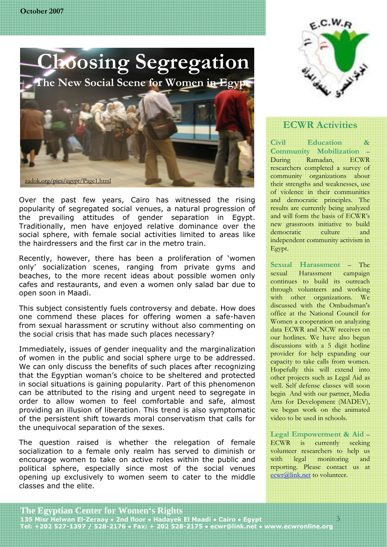

Over the past few years, Cairo has witnessed the rising popularity of segregated social venues, a natural progression of the prevailing attitudes of gender separation in Egypt. Traditionally, men have enjoyed relative dominance over the social sphere, with female social activities limited to areas like the hairdressers and the first car in the metro train.

Recently, however, there has been a proliferation of 'women only' socialization scenes, ranging from private gyms and beaches, to the more recent ideas about possible women only cafes and restaurants, and even a women only salad bar due to open soon in Maadi.

This subject consistently fuels controversy and debate. How does one commend these places for offering women a safe-haven from sexual harassment or scrutiny without also commenting on the social crisis that has made such places necessary?

Immediately, issues of gender inequality and the marginalization of women in the public and social sphere urge to be addressed. We can only discuss the benefits of such places after recognizing that the Egyptian woman's choice to be sheltered and protected in social situations is gaining popularity. Part of this phenomenon can be attributed to the rising and urgent need to segregate in order to allow women to feel comfortable and safe, almost providing an illusion of liberation. This trend is also symptomatic of the persistent shift towards moral conservatism that calls for the unequivocal separation of the sexes.

The question raised is whether the relegation of female socialization to a female only realm has served to diminish or encourage women to take on active roles within the public and political sphere, especially since most of the social venues opening up exclusively to women seem to cater to the middle classes and the elite.



### **ECWR Activities**

**Civil Education & Community Mobilization** – During Ramadan, ECWR researchers completed a survey of community organizations about their strengths and weaknesses, use of violence in their communities and democratic principles. The results are currently being analyzed and will form the basis of ECWR's new grassroots initiative to build democratic culture and independent community activism in Egypt.

**Sexual Harassment** – The sexual Harassment campaign continues to build its outreach through volunteers and working with other organizations. We discussed with the Ombudsman's office at the National Council for Women a cooperation on analyzing data ECWR and NCW receives on our hotlines. We have also begun discussions with a 5 digit hotline provider for help expanding our capacity to take calls from women. Hopefully this will extend into other projects such as Legal Aid as well. Self defense classes will soon begin And with our partner, Media Arts for Development (MADEV), we began work on the animated video to be used in schools.

**Legal Empowerment & Aid** – ECWR is currently seeking volunteer researchers to help us with legal monitoring and reporting. Please contact us at ecwr@link.net to volunteer.